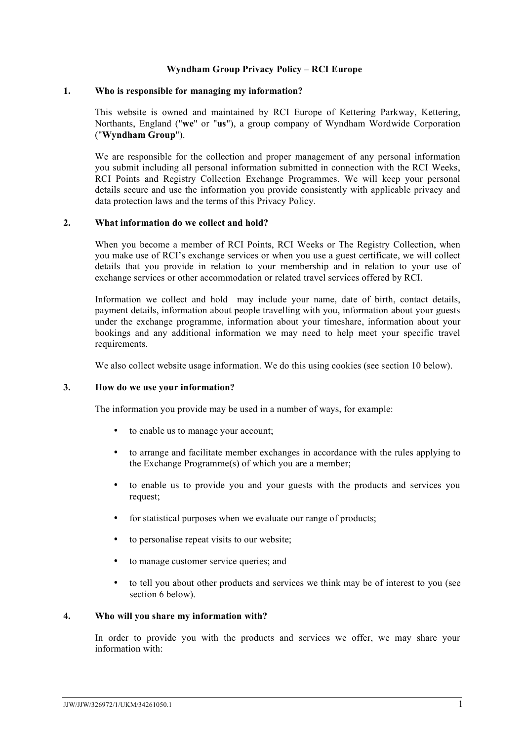## **Wyndham Group Privacy Policy – RCI Europe**

#### **1. Who is responsible for managing my information?**

This website is owned and maintained by RCI Europe of Kettering Parkway, Kettering, Northants, England ("**we**" or "**us**"), a group company of Wyndham Wordwide Corporation ("**Wyndham Group**").

We are responsible for the collection and proper management of any personal information you submit including all personal information submitted in connection with the RCI Weeks, RCI Points and Registry Collection Exchange Programmes. We will keep your personal details secure and use the information you provide consistently with applicable privacy and data protection laws and the terms of this Privacy Policy.

#### **2. What information do we collect and hold?**

When you become a member of RCI Points, RCI Weeks or The Registry Collection, when you make use of RCI's exchange services or when you use a guest certificate, we will collect details that you provide in relation to your membership and in relation to your use of exchange services or other accommodation or related travel services offered by RCI.

Information we collect and hold may include your name, date of birth, contact details, payment details, information about people travelling with you, information about your guests under the exchange programme, information about your timeshare, information about your bookings and any additional information we may need to help meet your specific travel requirements.

We also collect website usage information. We do this using cookies (see section 10 below).

### **3. How do we use your information?**

The information you provide may be used in a number of ways, for example:

- to enable us to manage your account:
- to arrange and facilitate member exchanges in accordance with the rules applying to the Exchange Programme(s) of which you are a member;
- to enable us to provide you and your guests with the products and services you request;
- for statistical purposes when we evaluate our range of products;
- to personalise repeat visits to our website;
- to manage customer service queries; and
- to tell you about other products and services we think may be of interest to you (see section 6 below).

#### **4. Who will you share my information with?**

In order to provide you with the products and services we offer, we may share your information with: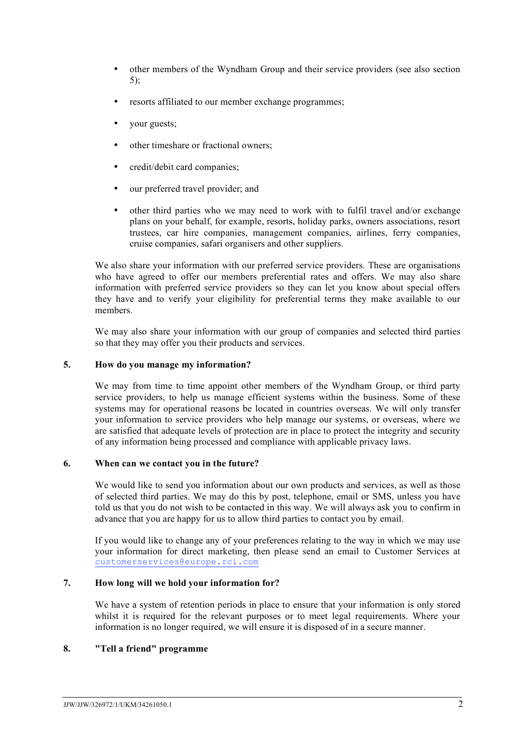- other members of the Wyndham Group and their service providers (see also section 5);
- resorts affiliated to our member exchange programmes;
- your guests;
- other timeshare or fractional owners;
- credit/debit card companies;
- our preferred travel provider; and
- other third parties who we may need to work with to fulfil travel and/or exchange plans on your behalf, for example, resorts, holiday parks, owners associations, resort trustees, car hire companies, management companies, airlines, ferry companies, cruise companies, safari organisers and other suppliers.

We also share your information with our preferred service providers. These are organisations who have agreed to offer our members preferential rates and offers. We may also share information with preferred service providers so they can let you know about special offers they have and to verify your eligibility for preferential terms they make available to our members.

We may also share your information with our group of companies and selected third parties so that they may offer you their products and services.

#### **5. How do you manage my information?**

We may from time to time appoint other members of the Wyndham Group, or third party service providers, to help us manage efficient systems within the business. Some of these systems may for operational reasons be located in countries overseas. We will only transfer your information to service providers who help manage our systems, or overseas, where we are satisfied that adequate levels of protection are in place to protect the integrity and security of any information being processed and compliance with applicable privacy laws.

### **6. When can we contact you in the future?**

We would like to send you information about our own products and services, as well as those of selected third parties. We may do this by post, telephone, email or SMS, unless you have told us that you do not wish to be contacted in this way. We will always ask you to confirm in advance that you are happy for us to allow third parties to contact you by email.

If you would like to change any of your preferences relating to the way in which we may use your information for direct marketing, then please send an email to Customer Services at customerservices@europe.rci.com

## **7. How long will we hold your information for?**

We have a system of retention periods in place to ensure that your information is only stored whilst it is required for the relevant purposes or to meet legal requirements. Where your information is no longer required, we will ensure it is disposed of in a secure manner.

# **8. "Tell a friend" programme**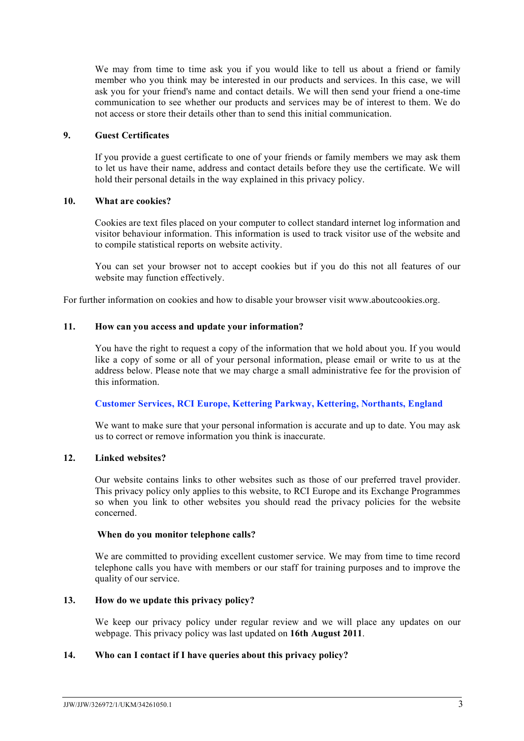We may from time to time ask you if you would like to tell us about a friend or family member who you think may be interested in our products and services. In this case, we will ask you for your friend's name and contact details. We will then send your friend a one-time communication to see whether our products and services may be of interest to them. We do not access or store their details other than to send this initial communication.

# **9. Guest Certificates**

If you provide a guest certificate to one of your friends or family members we may ask them to let us have their name, address and contact details before they use the certificate. We will hold their personal details in the way explained in this privacy policy.

## **10. What are cookies?**

Cookies are text files placed on your computer to collect standard internet log information and visitor behaviour information. This information is used to track visitor use of the website and to compile statistical reports on website activity.

You can set your browser not to accept cookies but if you do this not all features of our website may function effectively.

For further information on cookies and how to disable your browser visit www.aboutcookies.org.

## **11. How can you access and update your information?**

You have the right to request a copy of the information that we hold about you. If you would like a copy of some or all of your personal information, please email or write to us at the address below. Please note that we may charge a small administrative fee for the provision of this information.

# **Customer Services, RCI Europe, Kettering Parkway, Kettering, Northants, England**

We want to make sure that your personal information is accurate and up to date. You may ask us to correct or remove information you think is inaccurate.

### **12. Linked websites?**

Our website contains links to other websites such as those of our preferred travel provider. This privacy policy only applies to this website, to RCI Europe and its Exchange Programmes so when you link to other websites you should read the privacy policies for the website concerned.

### **When do you monitor telephone calls?**

We are committed to providing excellent customer service. We may from time to time record telephone calls you have with members or our staff for training purposes and to improve the quality of our service.

# **13. How do we update this privacy policy?**

We keep our privacy policy under regular review and we will place any updates on our webpage. This privacy policy was last updated on **16th August 2011**.

# **14. Who can I contact if I have queries about this privacy policy?**